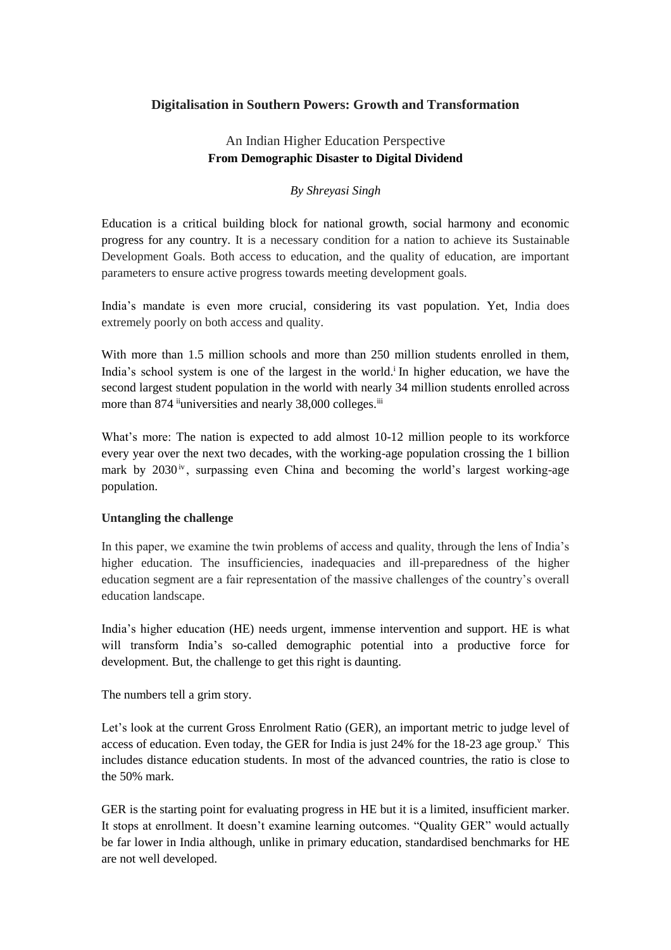## **Digitalisation in Southern Powers: Growth and Transformation**

# An Indian Higher Education Perspective **From Demographic Disaster to Digital Dividend**

## *By Shreyasi Singh*

Education is a critical building block for national growth, social harmony and economic progress for any country. It is a necessary condition for a nation to achieve its Sustainable Development Goals. Both access to education, and the quality of education, are important parameters to ensure active progress towards meeting development goals.

India's mandate is even more crucial, considering its vast population. Yet, India does extremely poorly on both access and quality.

With more than 1.5 million schools and more than 250 million students enrolled in them. India's school system is one of the largest in the world.<sup>i</sup> In higher education, we have the second largest student population in the world with nearly 34 million students enrolled across more than 874 <sup>ii</sup>universities and nearly 38,000 colleges.<sup>iii</sup>

What's more: The nation is expected to add almost 10-12 million people to its workforce every year over the next two decades, with the working-age population crossing the 1 billion mark by  $2030<sup>iv</sup>$ , surpassing even China and becoming the world's largest working-age population.

### **Untangling the challenge**

In this paper, we examine the twin problems of access and quality, through the lens of India's higher education. The insufficiencies, inadequacies and ill-preparedness of the higher education segment are a fair representation of the massive challenges of the country's overall education landscape.

India's higher education (HE) needs urgent, immense intervention and support. HE is what will transform India's so-called demographic potential into a productive force for development. But, the challenge to get this right is daunting.

The numbers tell a grim story.

Let's look at the current Gross Enrolment Ratio (GER), an important metric to judge level of access of education. Even today, the GER for India is just 24% for the 18-23 age group.<sup> $\vee$ </sup> This includes distance education students. In most of the advanced countries, the ratio is close to the 50% mark.

GER is the starting point for evaluating progress in HE but it is a limited, insufficient marker. It stops at enrollment. It doesn't examine learning outcomes. "Quality GER" would actually be far lower in India although, unlike in primary education, standardised benchmarks for HE are not well developed.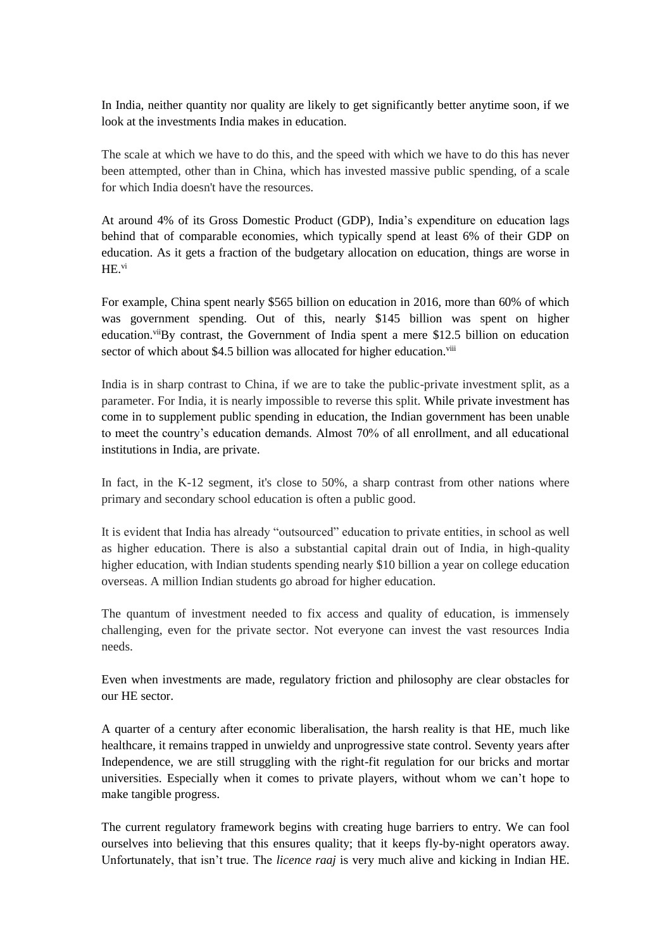In India, neither quantity nor quality are likely to get significantly better anytime soon, if we look at the investments India makes in education.

The scale at which we have to do this, and the speed with which we have to do this has never been attempted, other than in China, which has invested massive public spending, of a scale for which India doesn't have the resources.

At around 4% of its Gross Domestic Product (GDP), India's expenditure on education lags behind that of comparable economies, which typically spend at least 6% of their GDP on education. As it gets a fraction of the budgetary allocation on education, things are worse in HE.vi

For example, China spent nearly \$565 billion on education in 2016, more than 60% of which was government spending. Out of this, nearly \$145 billion was spent on higher education. $v^{ij}$ By contrast, the Government of India spent a mere \$12.5 billion on education sector of which about \$4.5 billion was allocated for higher education.<sup>viii</sup>

India is in sharp contrast to China, if we are to take the public-private investment split, as a parameter. For India, it is nearly impossible to reverse this split. While private investment has come in to supplement public spending in education, the Indian government has been unable to meet the country's education demands. Almost 70% of all enrollment, and all educational institutions in India, are private.

In fact, in the K-12 segment, it's close to 50%, a sharp contrast from other nations where primary and secondary school education is often a public good.

It is evident that India has already "outsourced" education to private entities, in school as well as higher education. There is also a substantial capital drain out of India, in high-quality higher education, with Indian students spending nearly \$10 billion a year on college education overseas. A million Indian students go abroad for higher education.

The quantum of investment needed to fix access and quality of education, is immensely challenging, even for the private sector. Not everyone can invest the vast resources India needs.

Even when investments are made, regulatory friction and philosophy are clear obstacles for our HE sector.

A quarter of a century after economic liberalisation, the harsh reality is that HE, much like healthcare, it remains trapped in unwieldy and unprogressive state control. Seventy years after Independence, we are still struggling with the right-fit regulation for our bricks and mortar universities. Especially when it comes to private players, without whom we can't hope to make tangible progress.

The current regulatory framework begins with creating huge barriers to entry. We can fool ourselves into believing that this ensures quality; that it keeps fly-by-night operators away. Unfortunately, that isn't true. The *licence raaj* is very much alive and kicking in Indian HE.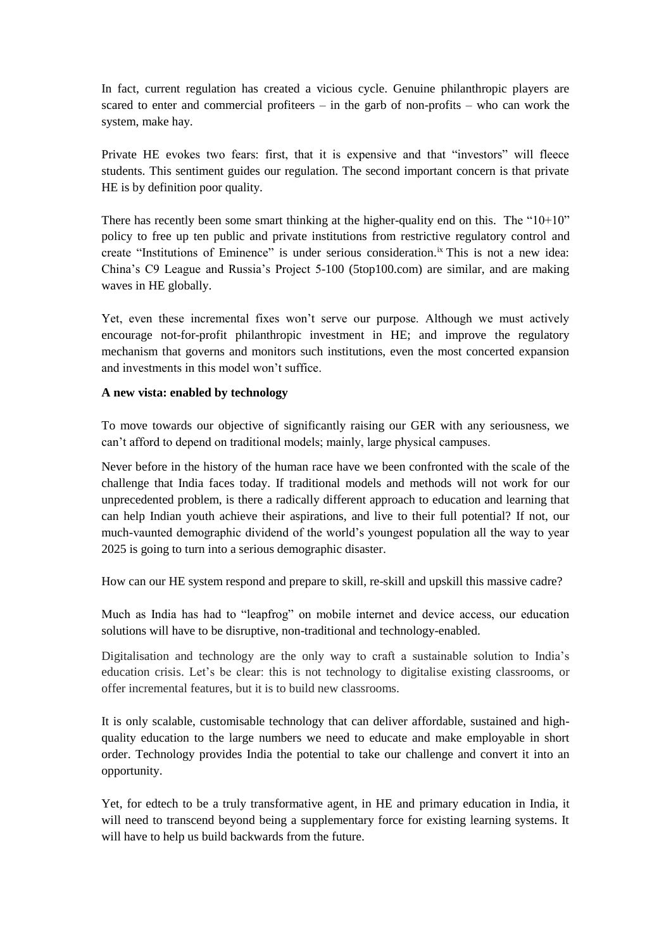In fact, current regulation has created a vicious cycle. Genuine philanthropic players are scared to enter and commercial profiteers – in the garb of non-profits – who can work the system, make hay.

Private HE evokes two fears: first, that it is expensive and that "investors" will fleece students. This sentiment guides our regulation. The second important concern is that private HE is by definition poor quality.

There has recently been some smart thinking at the higher-quality end on this. The "10+10" policy to free up ten public and private institutions from restrictive regulatory control and create "Institutions of Eminence" is under serious consideration.ix This is not a new idea: China's C9 League and Russia's Project 5-100 (5top100.com) are similar, and are making waves in HE globally.

Yet, even these incremental fixes won't serve our purpose. Although we must actively encourage not-for-profit philanthropic investment in HE; and improve the regulatory mechanism that governs and monitors such institutions, even the most concerted expansion and investments in this model won't suffice.

### **A new vista: enabled by technology**

To move towards our objective of significantly raising our GER with any seriousness, we can't afford to depend on traditional models; mainly, large physical campuses.

Never before in the history of the human race have we been confronted with the scale of the challenge that India faces today. If traditional models and methods will not work for our unprecedented problem, is there a radically different approach to education and learning that can help Indian youth achieve their aspirations, and live to their full potential? If not, our much-vaunted demographic dividend of the world's youngest population all the way to year 2025 is going to turn into a serious demographic disaster.

How can our HE system respond and prepare to skill, re-skill and upskill this massive cadre?

Much as India has had to "leapfrog" on mobile internet and device access, our education solutions will have to be disruptive, non-traditional and technology-enabled.

Digitalisation and technology are the only way to craft a sustainable solution to India's education crisis. Let's be clear: this is not technology to digitalise existing classrooms, or offer incremental features, but it is to build new classrooms.

It is only scalable, customisable technology that can deliver affordable, sustained and highquality education to the large numbers we need to educate and make employable in short order. Technology provides India the potential to take our challenge and convert it into an opportunity.

Yet, for edtech to be a truly transformative agent, in HE and primary education in India, it will need to transcend beyond being a supplementary force for existing learning systems. It will have to help us build backwards from the future.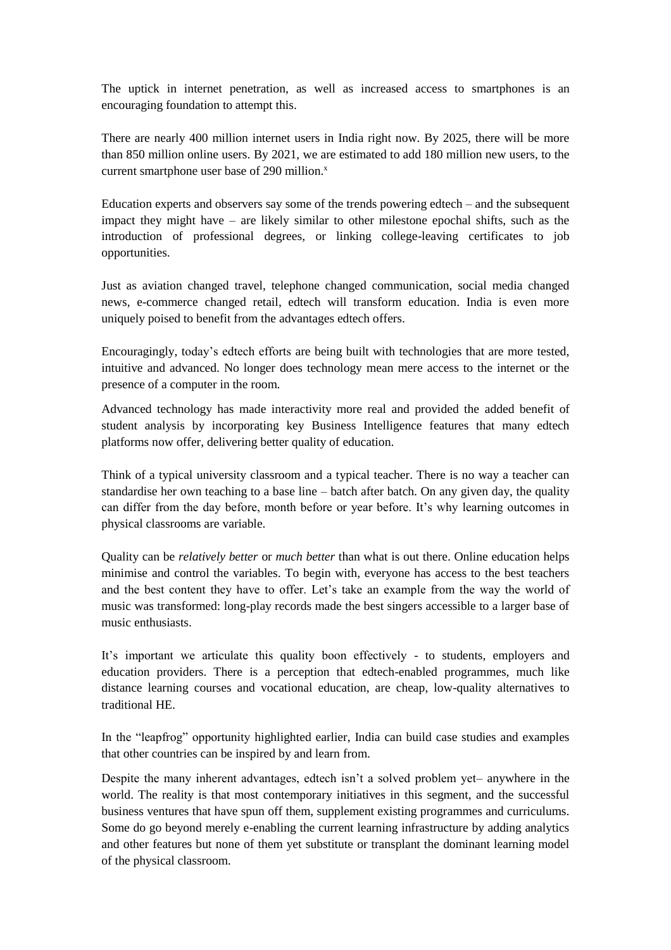The uptick in internet penetration, as well as increased access to smartphones is an encouraging foundation to attempt this.

There are nearly 400 million internet users in India right now. By 2025, there will be more than 850 million online users. By 2021, we are estimated to add 180 million new users, to the current smartphone user base of  $290$  million.<sup>x</sup>

Education experts and observers say some of the trends powering edtech – and the subsequent impact they might have – are likely similar to other milestone epochal shifts, such as the introduction of professional degrees, or linking college-leaving certificates to job opportunities.

Just as aviation changed travel, telephone changed communication, social media changed news, e-commerce changed retail, edtech will transform education. India is even more uniquely poised to benefit from the advantages edtech offers.

Encouragingly, today's edtech efforts are being built with technologies that are more tested, intuitive and advanced. No longer does technology mean mere access to the internet or the presence of a computer in the room.

Advanced technology has made interactivity more real and provided the added benefit of student analysis by incorporating key Business Intelligence features that many edtech platforms now offer, delivering better quality of education.

Think of a typical university classroom and a typical teacher. There is no way a teacher can standardise her own teaching to a base line – batch after batch. On any given day, the quality can differ from the day before, month before or year before. It's why learning outcomes in physical classrooms are variable.

Quality can be *relatively better* or *much better* than what is out there. Online education helps minimise and control the variables. To begin with, everyone has access to the best teachers and the best content they have to offer. Let's take an example from the way the world of music was transformed: long-play records made the best singers accessible to a larger base of music enthusiasts.

It's important we articulate this quality boon effectively - to students, employers and education providers. There is a perception that edtech-enabled programmes, much like distance learning courses and vocational education, are cheap, low-quality alternatives to traditional HE.

In the "leapfrog" opportunity highlighted earlier, India can build case studies and examples that other countries can be inspired by and learn from.

Despite the many inherent advantages, edtech isn't a solved problem yet– anywhere in the world. The reality is that most contemporary initiatives in this segment, and the successful business ventures that have spun off them, supplement existing programmes and curriculums. Some do go beyond merely e-enabling the current learning infrastructure by adding analytics and other features but none of them yet substitute or transplant the dominant learning model of the physical classroom.